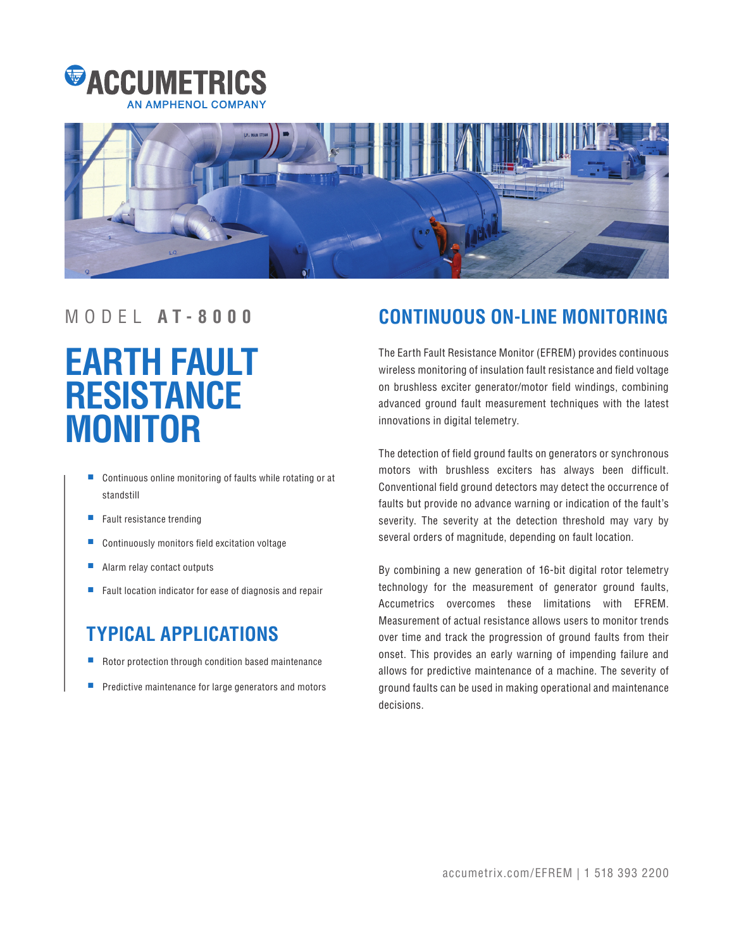



# **EARTH FAULT RESISTANCE MONITOR**

- Continuous online monitoring of faults while rotating or at standstill
- Fault resistance trending
- Continuously monitors field excitation voltage
- Alarm relay contact outputs
- Fault location indicator for ease of diagnosis and repair

# **TYPICAL APPLICATIONS**

- Rotor protection through condition based maintenance
- Predictive maintenance for large generators and motors

# MODEL **A T - 8 0 0 0 CONTINUOUS ON-LINE MONITORING**

The Earth Fault Resistance Monitor (EFREM) provides continuous wireless monitoring of insulation fault resistance and field voltage on brushless exciter generator/motor field windings, combining advanced ground fault measurement techniques with the latest innovations in digital telemetry.

The detection of field ground faults on generators or synchronous motors with brushless exciters has always been difficult. Conventional field ground detectors may detect the occurrence of faults but provide no advance warning or indication of the fault's severity. The severity at the detection threshold may vary by several orders of magnitude, depending on fault location.

By combining a new generation of 16-bit digital rotor telemetry technology for the measurement of generator ground faults, Accumetrics overcomes these limitations with EFREM. Measurement of actual resistance allows users to monitor trends over time and track the progression of ground faults from their onset. This provides an early warning of impending failure and allows for predictive maintenance of a machine. The severity of ground faults can be used in making operational and maintenance decisions.